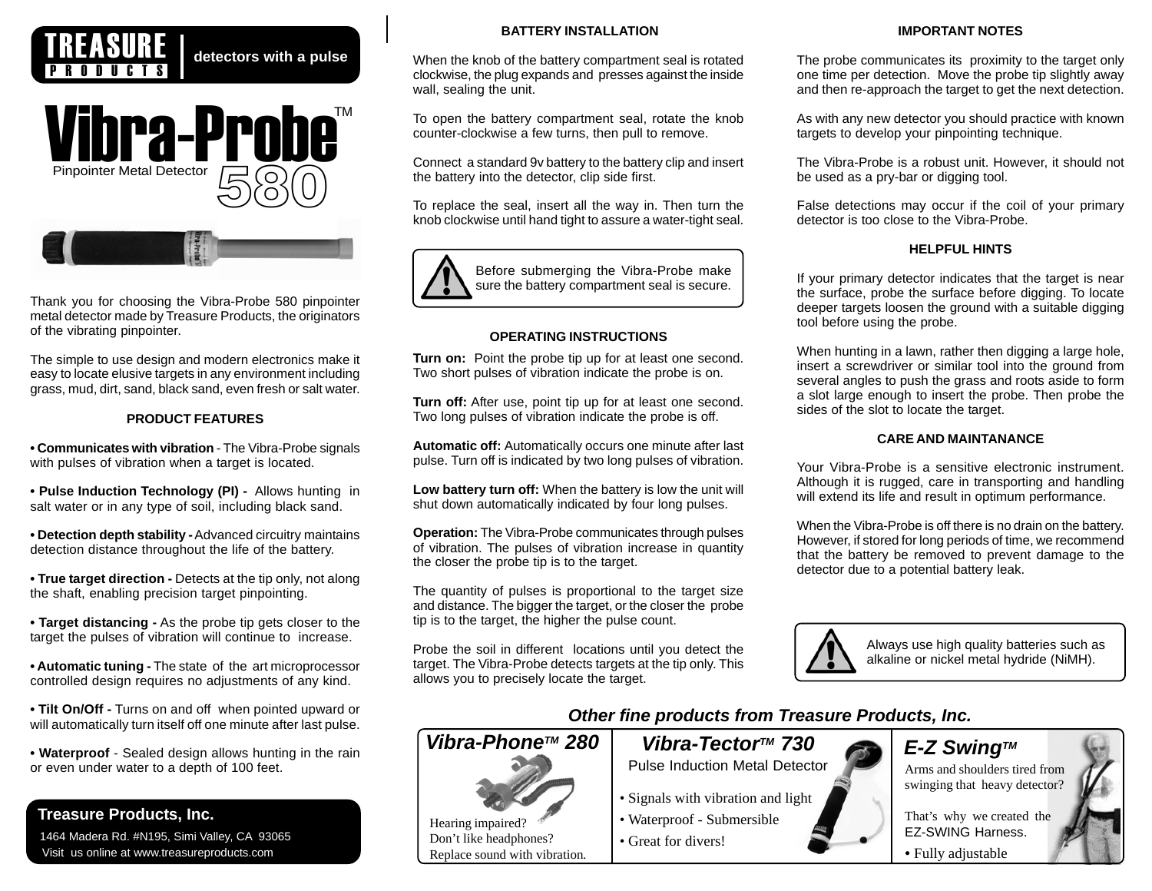

detectors with a pulse



Thank you for choosing the Vibra-Probe 580 pinpointer metal detector made by Treasure Products, the originators of the vibrating pinpointer.

The simple to use design and modern electronics make it easy to locate elusive targets in any environment including grass, mud, dirt, sand, black sand, even fresh or salt water.

# **PRODUCT FEATURES**

**• Communicates with vibration** - The Vibra-Probe signals with pulses of vibration when a target is located.

**• Pulse Induction Technology (PI) -** Allows hunting in salt water or in any type of soil, including black sand.

**• Detection depth stability -** Advanced circuitry maintains detection distance throughout the life of the battery.

**• True target direction -** Detects at the tip only, not along the shaft, enabling precision target pinpointing.

**• Target distancing -** As the probe tip gets closer to the target the pulses of vibration will continue to increase.

**• Automatic tuning -** The state of the art microprocessor controlled design requires no adjustments of any kind.

**• Tilt On/Off -** Turns on and off when pointed upward or will automatically turn itself off one minute after last pulse.

**• Waterproof** - Sealed design allows hunting in the rain or even under water to a depth of 100 feet.

# **Treasure Products, Inc.**

 1464 Madera Rd. #N195, Simi Valley, CA 93065 Visit us online at www.treasureproducts.com

# **BATTERY INSTALLATION**

When the knob of the battery compartment seal is rotated clockwise, the plug expands and presses against the inside wall, sealing the unit.

To open the battery compartment seal, rotate the knob counter-clockwise a few turns, then pull to remove.

Connect a standard 9v battery to the battery clip and insert the battery into the detector, clip side first.

To replace the seal, insert all the way in. Then turn the knob clockwise until hand tight to assure a water-tight seal.



# **OPERATING INSTRUCTIONS**

**Turn on:** Point the probe tip up for at least one second. Two short pulses of vibration indicate the probe is on.

**Turn off:** After use, point tip up for at least one second. Two long pulses of vibration indicate the probe is off.

**Automatic off:** Automatically occurs one minute after last pulse. Turn off is indicated by two long pulses of vibration.

**Low battery turn off:** When the battery is low the unit will shut down automatically indicated by four long pulses.

**Operation:** The Vibra-Probe communicates through pulses of vibration. The pulses of vibration increase in quantity the closer the probe tip is to the target.

The quantity of pulses is proportional to the target size and distance. The bigger the target, or the closer the probe tip is to the target, the higher the pulse count.

Probe the soil in different locations until you detect the target. The Vibra-Probe detects targets at the tip only. This allows you to precisely locate the target.

Don't like headphones?

### **IMPORTANT NOTES**

The probe communicates its proximity to the target only one time per detection. Move the probe tip slightly away and then re-approach the target to get the next detection.

As with any new detector you should practice with known targets to develop your pinpointing technique.

The Vibra-Probe is a robust unit. However, it should not be used as a pry-bar or digging tool.

False detections may occur if the coil of your primary detector is too close to the Vibra-Probe.

# **HELPFUL HINTS**

If your primary detector indicates that the target is near the surface, probe the surface before digging. To locate deeper targets loosen the ground with a suitable digging tool before using the probe.

When hunting in a lawn, rather then digging a large hole, insert a screwdriver or similar tool into the ground from several angles to push the grass and roots aside to form a slot large enough to insert the probe. Then probe the sides of the slot to locate the target.

# **CARE AND MAINTANANCE**

Your Vibra-Probe is a sensitive electronic instrument. Although it is rugged, care in transporting and handling will extend its life and result in optimum performance.

When the Vibra-Probe is off there is no drain on the battery. However, if stored for long periods of time, we recommend that the battery be removed to prevent damage to the detector due to a potential battery leak.



Always use high quality batteries such as alkaline or nickel metal hydride (NiMH).

That's why we created the

*Other fine products from Treasure Products, Inc.*

# *Vibra-Phone™ 280* | *Vibra-Tector™ 730* | E-Z Swing™

Pulse Induction Metal Detector

- Signals with vibration and light
- Hearing impaired?<br> **EX-SWING Harness.**<br> **EX-SWING Harness.** • Waterproof - Submersible
	- Great for divers!

Replace sound with vibration.